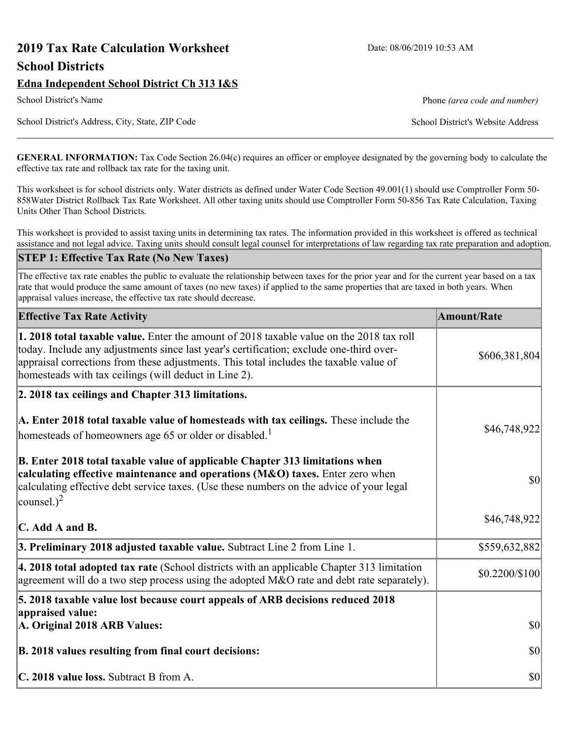# **2019 Tax Rate Calculation Worksheet** Date: 08/06/2019 10:53 AM **School Districts**

School District's Address, City, State, ZIP Code School District's Website Address

**GENERAL INFORMATION:** Tax Code Section 26.04(c) requires an officer or employee designated by the governing body to calculate the effective tax rate and rollback tax rate for the taxing unit.

This worksheet is for school districts only. Water districts as defined under Water Code Section 49.001(1) should use Comptroller Form 50- 858Water District Rollback Tax Rate Worksheet. All other taxing units should use Comptroller Form 50-856 Tax Rate Calculation, Taxing Units Other Than School Districts.

This worksheet is provided to assist taxing units in determining tax rates. The information provided in this worksheet is offered as technical assistance and not legal advice. Taxing units should consult legal counsel for interpretations of law regarding tax rate preparation and adoption.

#### **STEP 1: Effective Tax Rate (No New Taxes)**

The effective tax rate enables the public to evaluate the relationship between taxes for the prior year and for the current year based on a tax rate that would produce the same amount of taxes (no new taxes) if applied to the same properties that are taxed in both years. When appraisal values increase, the effective tax rate should decrease.

| <b>Effective Tax Rate Activity</b>                                                                                                                                                                                                                                                                                                     | <b>Amount/Rate</b> |
|----------------------------------------------------------------------------------------------------------------------------------------------------------------------------------------------------------------------------------------------------------------------------------------------------------------------------------------|--------------------|
| 1. 2018 total taxable value. Enter the amount of 2018 taxable value on the 2018 tax roll<br>today. Include any adjustments since last year's certification; exclude one-third over-<br>appraisal corrections from these adjustments. This total includes the taxable value of<br>homesteads with tax ceilings (will deduct in Line 2). | \$606,381,804      |
| 2. 2018 tax ceilings and Chapter 313 limitations.                                                                                                                                                                                                                                                                                      |                    |
| A. Enter 2018 total taxable value of homesteads with tax ceilings. These include the<br>homesteads of homeowners age 65 or older or disabled. <sup>1</sup>                                                                                                                                                                             | \$46,748,922       |
| B. Enter 2018 total taxable value of applicable Chapter 313 limitations when<br>calculating effective maintenance and operations (M&O) taxes. Enter zero when<br>calculating effective debt service taxes. (Use these numbers on the advice of your legal<br>counsel.) <sup>2</sup>                                                    | \$0                |
| $\mathbf C$ . Add A and B.                                                                                                                                                                                                                                                                                                             | \$46,748,922       |
| 3. Preliminary 2018 adjusted taxable value. Subtract Line 2 from Line 1.                                                                                                                                                                                                                                                               | \$559,632,882      |
| 4. 2018 total adopted tax rate (School districts with an applicable Chapter 313 limitation<br>agreement will do a two step process using the adopted $M&O$ rate and debt rate separately).                                                                                                                                             | \$0.2200/\$100     |
| 5. 2018 taxable value lost because court appeals of ARB decisions reduced 2018                                                                                                                                                                                                                                                         |                    |
| appraised value:<br>A. Original 2018 ARB Values:                                                                                                                                                                                                                                                                                       | 30                 |
| B. 2018 values resulting from final court decisions:                                                                                                                                                                                                                                                                                   | \$0                |
| C. 2018 value loss. Subtract B from A.                                                                                                                                                                                                                                                                                                 | \$0                |

School District's Name **Phone** *(area code and number)* Phone *(area code and number)*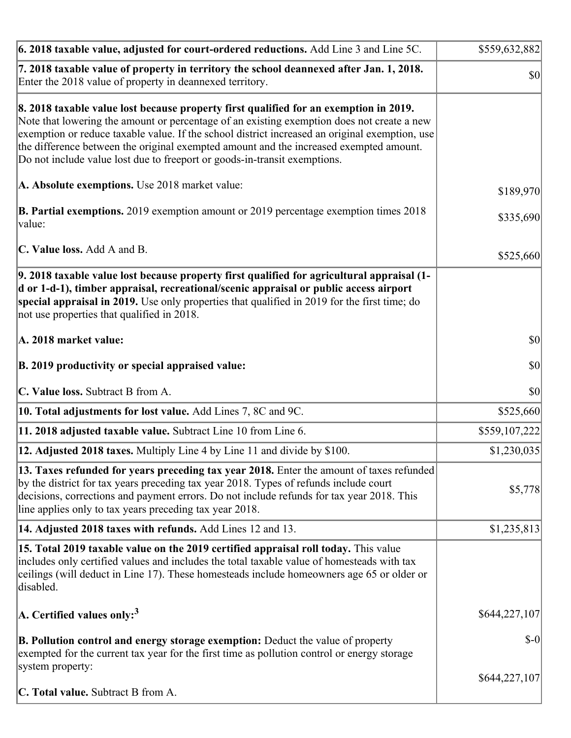| 6. 2018 taxable value, adjusted for court-ordered reductions. Add Line 3 and Line 5C.                                                                                                                                                                                                                                                                                                                                                                        | \$559,632,882 |
|--------------------------------------------------------------------------------------------------------------------------------------------------------------------------------------------------------------------------------------------------------------------------------------------------------------------------------------------------------------------------------------------------------------------------------------------------------------|---------------|
| 7. 2018 taxable value of property in territory the school deannexed after Jan. 1, 2018.<br>Enter the 2018 value of property in deannexed territory.                                                                                                                                                                                                                                                                                                          | \$0           |
| 8. 2018 taxable value lost because property first qualified for an exemption in 2019.<br>Note that lowering the amount or percentage of an existing exemption does not create a new<br>exemption or reduce taxable value. If the school district increased an original exemption, use<br>the difference between the original exempted amount and the increased exempted amount.<br>Do not include value lost due to freeport or goods-in-transit exemptions. |               |
| A. Absolute exemptions. Use 2018 market value:                                                                                                                                                                                                                                                                                                                                                                                                               | \$189,970     |
| <b>B. Partial exemptions.</b> 2019 exemption amount or 2019 percentage exemption times 2018<br>value:                                                                                                                                                                                                                                                                                                                                                        | \$335,690     |
| C. Value loss. Add A and B.                                                                                                                                                                                                                                                                                                                                                                                                                                  | \$525,660     |
| 9. 2018 taxable value lost because property first qualified for agricultural appraisal (1-<br>d or 1-d-1), timber appraisal, recreational/scenic appraisal or public access airport<br>special appraisal in 2019. Use only properties that qualified in 2019 for the first time; do<br>not use properties that qualified in 2018.                                                                                                                            |               |
| A. 2018 market value:                                                                                                                                                                                                                                                                                                                                                                                                                                        | $ 10\rangle$  |
| B. 2019 productivity or special appraised value:                                                                                                                                                                                                                                                                                                                                                                                                             | \$0           |
| C. Value loss. Subtract B from A.                                                                                                                                                                                                                                                                                                                                                                                                                            | $ 10\rangle$  |
| 10. Total adjustments for lost value. Add Lines 7, 8C and 9C.                                                                                                                                                                                                                                                                                                                                                                                                | \$525,660     |
| 11. 2018 adjusted taxable value. Subtract Line 10 from Line 6.                                                                                                                                                                                                                                                                                                                                                                                               | \$559,107,222 |
| 12. Adjusted 2018 taxes. Multiply Line 4 by Line 11 and divide by \$100.                                                                                                                                                                                                                                                                                                                                                                                     | \$1,230,035   |
| 13. Taxes refunded for years preceding tax year 2018. Enter the amount of taxes refunded<br>by the district for tax years preceding tax year 2018. Types of refunds include court<br>decisions, corrections and payment errors. Do not include refunds for tax year 2018. This<br>line applies only to tax years preceding tax year 2018.                                                                                                                    | \$5,778       |
| 14. Adjusted 2018 taxes with refunds. Add Lines 12 and 13.                                                                                                                                                                                                                                                                                                                                                                                                   | \$1,235,813   |
| 15. Total 2019 taxable value on the 2019 certified appraisal roll today. This value<br>includes only certified values and includes the total taxable value of homesteads with tax<br>ceilings (will deduct in Line 17). These homesteads include homeowners age 65 or older or<br>disabled.                                                                                                                                                                  |               |
| A. Certified values only: <sup>3</sup>                                                                                                                                                                                                                                                                                                                                                                                                                       | \$644,227,107 |
| <b>B. Pollution control and energy storage exemption:</b> Deduct the value of property<br>exempted for the current tax year for the first time as pollution control or energy storage<br>system property:                                                                                                                                                                                                                                                    | $S-0$         |
|                                                                                                                                                                                                                                                                                                                                                                                                                                                              | \$644,227,107 |
| <b>C. Total value.</b> Subtract B from A.                                                                                                                                                                                                                                                                                                                                                                                                                    |               |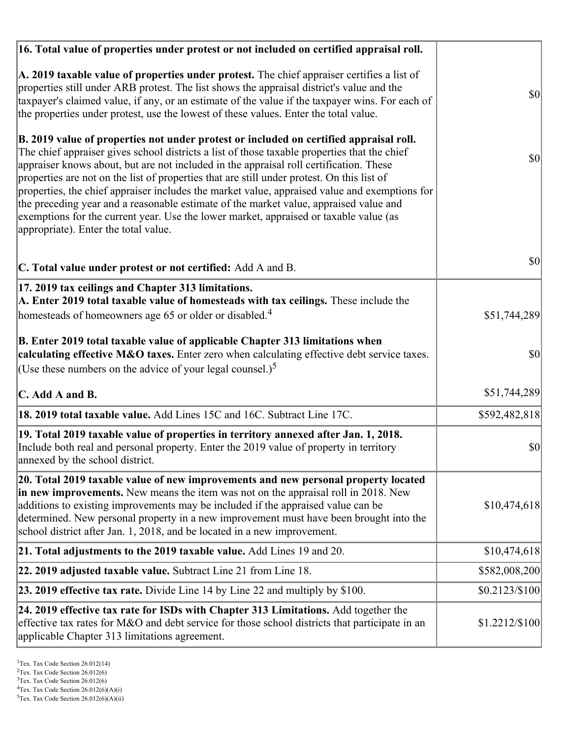| 16. Total value of properties under protest or not included on certified appraisal roll.                                                                                                                                                                                                                                                                                                                                                                                                                                                                                                                                                                                                                  |                |
|-----------------------------------------------------------------------------------------------------------------------------------------------------------------------------------------------------------------------------------------------------------------------------------------------------------------------------------------------------------------------------------------------------------------------------------------------------------------------------------------------------------------------------------------------------------------------------------------------------------------------------------------------------------------------------------------------------------|----------------|
| A. 2019 taxable value of properties under protest. The chief appraiser certifies a list of<br>properties still under ARB protest. The list shows the appraisal district's value and the<br>taxpayer's claimed value, if any, or an estimate of the value if the taxpayer wins. For each of<br>the properties under protest, use the lowest of these values. Enter the total value.                                                                                                                                                                                                                                                                                                                        | <b>\$0</b>     |
| B. 2019 value of properties not under protest or included on certified appraisal roll.<br>The chief appraiser gives school districts a list of those taxable properties that the chief<br>appraiser knows about, but are not included in the appraisal roll certification. These<br>properties are not on the list of properties that are still under protest. On this list of<br>properties, the chief appraiser includes the market value, appraised value and exemptions for<br>the preceding year and a reasonable estimate of the market value, appraised value and<br>exemptions for the current year. Use the lower market, appraised or taxable value (as<br>appropriate). Enter the total value. | $ 10\rangle$   |
| C. Total value under protest or not certified: Add A and B.                                                                                                                                                                                                                                                                                                                                                                                                                                                                                                                                                                                                                                               | <b>\$0</b>     |
| 17. 2019 tax ceilings and Chapter 313 limitations.<br>A. Enter 2019 total taxable value of homesteads with tax ceilings. These include the                                                                                                                                                                                                                                                                                                                                                                                                                                                                                                                                                                |                |
| homesteads of homeowners age 65 or older or disabled. <sup>4</sup>                                                                                                                                                                                                                                                                                                                                                                                                                                                                                                                                                                                                                                        | \$51,744,289   |
| B. Enter 2019 total taxable value of applicable Chapter 313 limitations when<br>calculating effective M&O taxes. Enter zero when calculating effective debt service taxes.<br>(Use these numbers on the advice of your legal counsel.) <sup>5</sup>                                                                                                                                                                                                                                                                                                                                                                                                                                                       | \$0            |
| C. Add A and B.                                                                                                                                                                                                                                                                                                                                                                                                                                                                                                                                                                                                                                                                                           | \$51,744,289   |
| 18. 2019 total taxable value. Add Lines 15C and 16C. Subtract Line 17C.                                                                                                                                                                                                                                                                                                                                                                                                                                                                                                                                                                                                                                   | \$592,482,818  |
| 19. Total 2019 taxable value of properties in territory annexed after Jan. 1, 2018.<br>Include both real and personal property. Enter the 2019 value of property in territory<br>annexed by the school district.                                                                                                                                                                                                                                                                                                                                                                                                                                                                                          | \$0            |
| 20. Total 2019 taxable value of new improvements and new personal property located<br>in new improvements. New means the item was not on the appraisal roll in 2018. New<br>additions to existing improvements may be included if the appraised value can be<br>determined. New personal property in a new improvement must have been brought into the<br>school district after Jan. 1, 2018, and be located in a new improvement.                                                                                                                                                                                                                                                                        | \$10,474,618   |
| 21. Total adjustments to the 2019 taxable value. Add Lines 19 and 20.                                                                                                                                                                                                                                                                                                                                                                                                                                                                                                                                                                                                                                     | \$10,474,618   |
| 22. 2019 adjusted taxable value. Subtract Line 21 from Line 18.                                                                                                                                                                                                                                                                                                                                                                                                                                                                                                                                                                                                                                           | \$582,008,200  |
| <b>23. 2019 effective tax rate.</b> Divide Line 14 by Line 22 and multiply by \$100.                                                                                                                                                                                                                                                                                                                                                                                                                                                                                                                                                                                                                      | \$0.2123/\$100 |
| 24. 2019 effective tax rate for ISDs with Chapter 313 Limitations. Add together the<br>effective tax rates for M&O and debt service for those school districts that participate in an<br>applicable Chapter 313 limitations agreement.                                                                                                                                                                                                                                                                                                                                                                                                                                                                    | \$1.2212/\$100 |

 $2$ Tex. Tax Code Section 26.012(6)

<sup>&</sup>lt;sup>3</sup>Tex. Tax Code Section 26.012(6)

 ${}^{4}$ Tex. Tax Code Section 26.012(6)(A)(i)

 $5$ Tex. Tax Code Section 26.012(6)(A)(ii)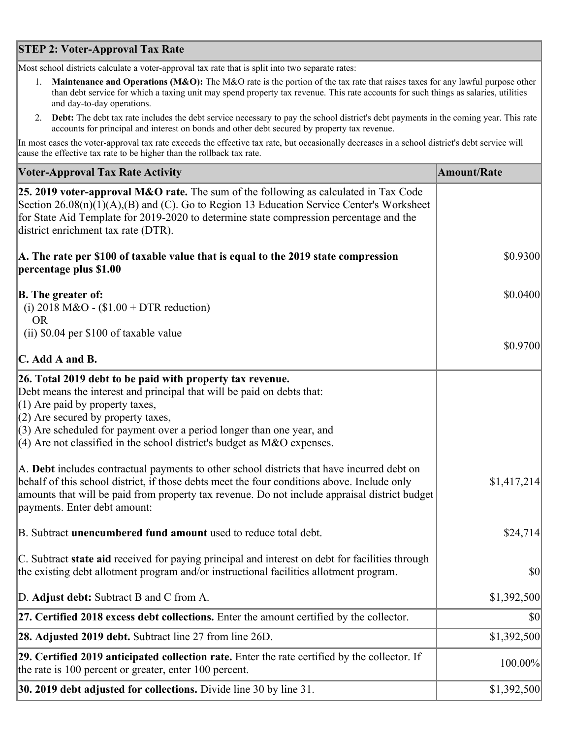## **STEP 2: Voter-Approval Tax Rate**

Most school districts calculate a voter-approval tax rate that is split into two separate rates:

- 1. **Maintenance and Operations (M&O):** The M&O rate is the portion of the tax rate that raises taxes for any lawful purpose other than debt service for which a taxing unit may spend property tax revenue. This rate accounts for such things as salaries, utilities and day-to-day operations.
- 2. **Debt:** The debt tax rate includes the debt service necessary to pay the school district's debt payments in the coming year. This rate accounts for principal and interest on bonds and other debt secured by property tax revenue.

In most cases the voter-approval tax rate exceeds the effective tax rate, but occasionally decreases in a school district's debt service will cause the effective tax rate to be higher than the rollback tax rate.

| <b>Voter-Approval Tax Rate Activity</b>                                                                                                                                                                                                                                                                                                                                  | <b>Amount/Rate</b> |
|--------------------------------------------------------------------------------------------------------------------------------------------------------------------------------------------------------------------------------------------------------------------------------------------------------------------------------------------------------------------------|--------------------|
| <b>25. 2019 voter-approval M&amp;O rate.</b> The sum of the following as calculated in Tax Code<br>Section $26.08(n)(1)(A),(B)$ and (C). Go to Region 13 Education Service Center's Worksheet<br>for State Aid Template for 2019-2020 to determine state compression percentage and the<br>district enrichment tax rate (DTR).                                           |                    |
| A. The rate per \$100 of taxable value that is equal to the 2019 state compression<br>percentage plus \$1.00                                                                                                                                                                                                                                                             | \$0.9300           |
| <b>B.</b> The greater of:<br>(i) 2018 M&O - $$1.00 + DTR$ reduction)<br><b>OR</b>                                                                                                                                                                                                                                                                                        | \$0.0400           |
| (ii) \$0.04 per \$100 of taxable value<br>$\mathbf C$ . Add A and B.                                                                                                                                                                                                                                                                                                     | \$0.9700           |
| 26. Total 2019 debt to be paid with property tax revenue.<br>Debt means the interest and principal that will be paid on debts that:<br>$(1)$ Are paid by property taxes,<br>$(2)$ Are secured by property taxes,<br>$(3)$ Are scheduled for payment over a period longer than one year, and<br>$(4)$ Are not classified in the school district's budget as M&O expenses. |                    |
| A. Debt includes contractual payments to other school districts that have incurred debt on<br>behalf of this school district, if those debts meet the four conditions above. Include only<br>amounts that will be paid from property tax revenue. Do not include appraisal district budget<br>payments. Enter debt amount:                                               | \$1,417,214        |
| B. Subtract unencumbered fund amount used to reduce total debt.                                                                                                                                                                                                                                                                                                          | \$24,714           |
| C. Subtract state aid received for paying principal and interest on debt for facilities through<br>the existing debt allotment program and/or instructional facilities allotment program.                                                                                                                                                                                | \$0                |
| D. Adjust debt: Subtract B and C from A.                                                                                                                                                                                                                                                                                                                                 | \$1,392,500        |
| 27. Certified 2018 excess debt collections. Enter the amount certified by the collector.                                                                                                                                                                                                                                                                                 | \$0                |
| 28. Adjusted 2019 debt. Subtract line 27 from line 26D.                                                                                                                                                                                                                                                                                                                  | \$1,392,500        |
| 29. Certified 2019 anticipated collection rate. Enter the rate certified by the collector. If<br>the rate is 100 percent or greater, enter 100 percent.                                                                                                                                                                                                                  | 100.00%            |
| 30. 2019 debt adjusted for collections. Divide line 30 by line 31.                                                                                                                                                                                                                                                                                                       | \$1,392,500        |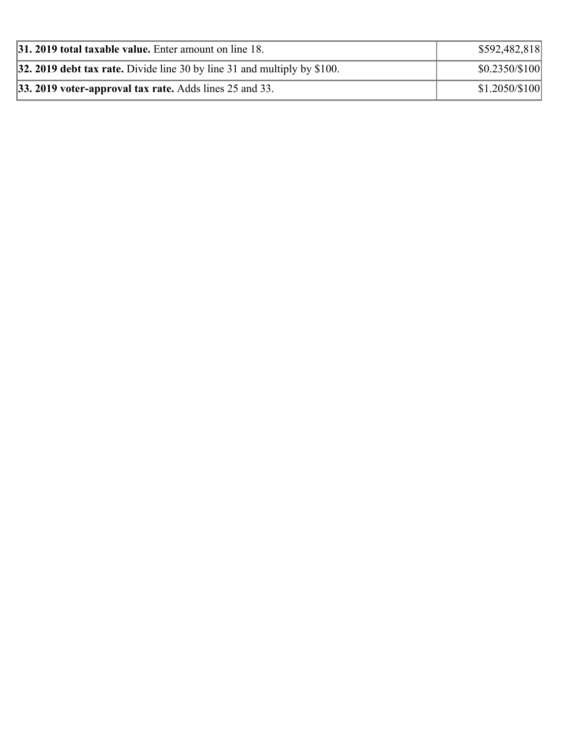| 31. 2019 total taxable value. Enter amount on line 18.                   | \$592,482,818   |
|--------------------------------------------------------------------------|-----------------|
| 32. 2019 debt tax rate. Divide line 30 by line 31 and multiply by \$100. | $$0.2350/\$100$ |
| $ 33.2019$ voter-approval tax rate. Adds lines 25 and 33.                | \$1.2050/\$100  |